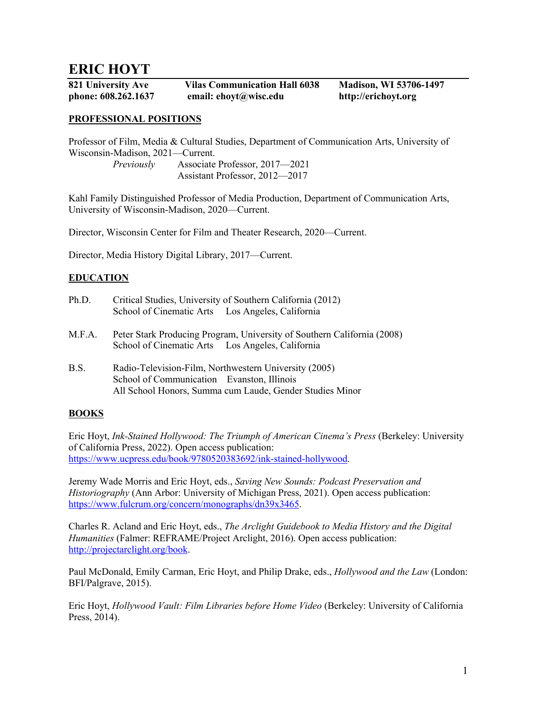# **ERIC HOYT**

**821 University Ave Vilas Communication Hall 6038 Madison, WI 53706-1497 phone: 608.262.1637 email: ehoyt@wisc.edu http://erichoyt.org**

### **PROFESSIONAL POSITIONS**

Professor of Film, Media & Cultural Studies, Department of Communication Arts, University of Wisconsin-Madison, 2021—Current. *Previously* Associate Professor, 2017—2021

Assistant Professor, 2012—2017

Kahl Family Distinguished Professor of Media Production, Department of Communication Arts, University of Wisconsin-Madison, 2020—Current.

Director, Wisconsin Center for Film and Theater Research, 2020—Current.

Director, Media History Digital Library, 2017—Current.

### **EDUCATION**

| Ph.D. |                          | Critical Studies, University of Southern California (2012) |
|-------|--------------------------|------------------------------------------------------------|
|       | School of Cinematic Arts | Los Angeles, California                                    |

- M.F.A. Peter Stark Producing Program, University of Southern California (2008) School of Cinematic Arts Los Angeles, California
- B.S. Radio-Television-Film, Northwestern University (2005) School of Communication Evanston, Illinois All School Honors, Summa cum Laude, Gender Studies Minor

### **BOOKS**

Eric Hoyt, *Ink-Stained Hollywood: The Triumph of American Cinema's Press* (Berkeley: University of California Press, 2022). Open access publication: https://www.ucpress.edu/book/9780520383692/ink-stained-hollywood.

Jeremy Wade Morris and Eric Hoyt, eds., *Saving New Sounds: Podcast Preservation and Historiography* (Ann Arbor: University of Michigan Press, 2021). Open access publication: https://www.fulcrum.org/concern/monographs/dn39x3465.

Charles R. Acland and Eric Hoyt, eds., *The Arclight Guidebook to Media History and the Digital Humanities* (Falmer: REFRAME/Project Arclight, 2016). Open access publication: http://projectarclight.org/book.

Paul McDonald, Emily Carman, Eric Hoyt, and Philip Drake, eds., *Hollywood and the Law* (London: BFI/Palgrave, 2015).

Eric Hoyt, *Hollywood Vault: Film Libraries before Home Video* (Berkeley: University of California Press, 2014).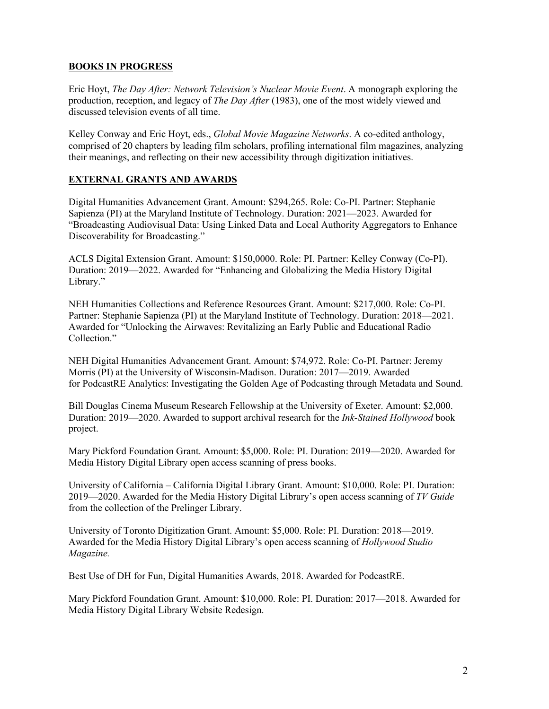# **BOOKS IN PROGRESS**

Eric Hoyt, *The Day After: Network Television's Nuclear Movie Event*. A monograph exploring the production, reception, and legacy of *The Day After* (1983), one of the most widely viewed and discussed television events of all time.

Kelley Conway and Eric Hoyt, eds., *Global Movie Magazine Networks*. A co-edited anthology, comprised of 20 chapters by leading film scholars, profiling international film magazines, analyzing their meanings, and reflecting on their new accessibility through digitization initiatives.

# **EXTERNAL GRANTS AND AWARDS**

Digital Humanities Advancement Grant. Amount: \$294,265. Role: Co-PI. Partner: Stephanie Sapienza (PI) at the Maryland Institute of Technology. Duration: 2021—2023. Awarded for "Broadcasting Audiovisual Data: Using Linked Data and Local Authority Aggregators to Enhance Discoverability for Broadcasting."

ACLS Digital Extension Grant. Amount: \$150,0000. Role: PI. Partner: Kelley Conway (Co-PI). Duration: 2019—2022. Awarded for "Enhancing and Globalizing the Media History Digital Library."

NEH Humanities Collections and Reference Resources Grant. Amount: \$217,000. Role: Co-PI. Partner: Stephanie Sapienza (PI) at the Maryland Institute of Technology. Duration: 2018—2021. Awarded for "Unlocking the Airwaves: Revitalizing an Early Public and Educational Radio Collection."

NEH Digital Humanities Advancement Grant. Amount: \$74,972. Role: Co-PI. Partner: Jeremy Morris (PI) at the University of Wisconsin-Madison. Duration: 2017—2019. Awarded for PodcastRE Analytics: Investigating the Golden Age of Podcasting through Metadata and Sound.

Bill Douglas Cinema Museum Research Fellowship at the University of Exeter. Amount: \$2,000. Duration: 2019—2020. Awarded to support archival research for the *Ink-Stained Hollywood* book project.

Mary Pickford Foundation Grant. Amount: \$5,000. Role: PI. Duration: 2019—2020. Awarded for Media History Digital Library open access scanning of press books.

University of California – California Digital Library Grant. Amount: \$10,000. Role: PI. Duration: 2019—2020. Awarded for the Media History Digital Library's open access scanning of *TV Guide* from the collection of the Prelinger Library.

University of Toronto Digitization Grant. Amount: \$5,000. Role: PI. Duration: 2018—2019. Awarded for the Media History Digital Library's open access scanning of *Hollywood Studio Magazine.*

Best Use of DH for Fun, Digital Humanities Awards, 2018. Awarded for PodcastRE.

Mary Pickford Foundation Grant. Amount: \$10,000. Role: PI. Duration: 2017—2018. Awarded for Media History Digital Library Website Redesign.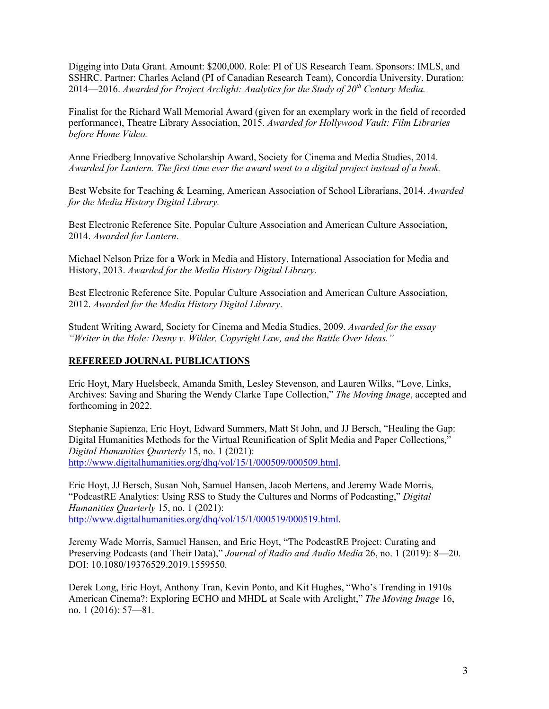Digging into Data Grant. Amount: \$200,000. Role: PI of US Research Team. Sponsors: IMLS, and SSHRC. Partner: Charles Acland (PI of Canadian Research Team), Concordia University. Duration: 2014—2016. *Awarded for Project Arclight: Analytics for the Study of 20th Century Media.*

Finalist for the Richard Wall Memorial Award (given for an exemplary work in the field of recorded performance), Theatre Library Association, 2015. *Awarded for Hollywood Vault: Film Libraries before Home Video.*

Anne Friedberg Innovative Scholarship Award, Society for Cinema and Media Studies, 2014. *Awarded for Lantern. The first time ever the award went to a digital project instead of a book.*

Best Website for Teaching & Learning, American Association of School Librarians, 2014. *Awarded for the Media History Digital Library.*

Best Electronic Reference Site, Popular Culture Association and American Culture Association, 2014. *Awarded for Lantern*.

Michael Nelson Prize for a Work in Media and History, International Association for Media and History, 2013. *Awarded for the Media History Digital Library*.

Best Electronic Reference Site, Popular Culture Association and American Culture Association, 2012. *Awarded for the Media History Digital Library*.

Student Writing Award, Society for Cinema and Media Studies, 2009. *Awarded for the essay "Writer in the Hole: Desny v. Wilder, Copyright Law, and the Battle Over Ideas."*

### **REFEREED JOURNAL PUBLICATIONS**

Eric Hoyt, Mary Huelsbeck, Amanda Smith, Lesley Stevenson, and Lauren Wilks, "Love, Links, Archives: Saving and Sharing the Wendy Clarke Tape Collection," *The Moving Image*, accepted and forthcoming in 2022.

Stephanie Sapienza, Eric Hoyt, Edward Summers, Matt St John, and JJ Bersch, "Healing the Gap: Digital Humanities Methods for the Virtual Reunification of Split Media and Paper Collections," *Digital Humanities Quarterly* 15, no. 1 (2021): http://www.digitalhumanities.org/dhq/vol/15/1/000509/000509.html.

Eric Hoyt, JJ Bersch, Susan Noh, Samuel Hansen, Jacob Mertens, and Jeremy Wade Morris, "PodcastRE Analytics: Using RSS to Study the Cultures and Norms of Podcasting," *Digital Humanities Quarterly* 15, no. 1 (2021): http://www.digitalhumanities.org/dhq/vol/15/1/000519/000519.html.

Jeremy Wade Morris, Samuel Hansen, and Eric Hoyt, "The PodcastRE Project: Curating and Preserving Podcasts (and Their Data)," *Journal of Radio and Audio Media* 26, no. 1 (2019): 8—20. DOI: 10.1080/19376529.2019.1559550.

Derek Long, Eric Hoyt, Anthony Tran, Kevin Ponto, and Kit Hughes, "Who's Trending in 1910s American Cinema?: Exploring ECHO and MHDL at Scale with Arclight," *The Moving Image* 16, no. 1 (2016): 57—81.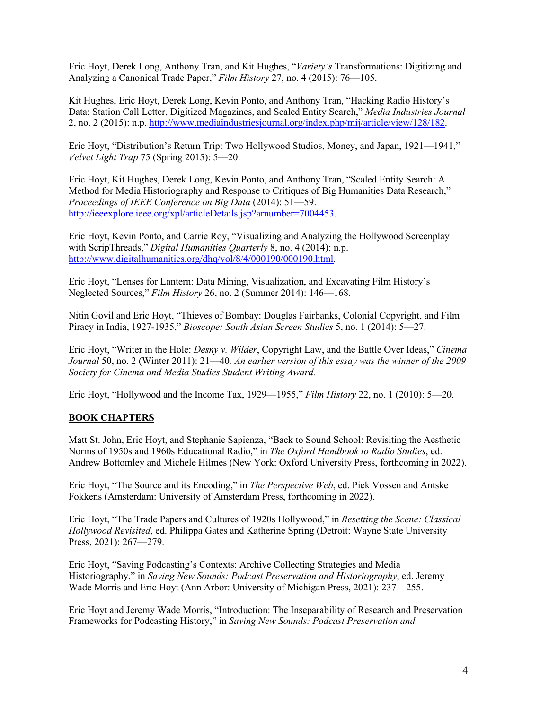Eric Hoyt, Derek Long, Anthony Tran, and Kit Hughes, "*Variety's* Transformations: Digitizing and Analyzing a Canonical Trade Paper," *Film History* 27, no. 4 (2015): 76—105.

Kit Hughes, Eric Hoyt, Derek Long, Kevin Ponto, and Anthony Tran, "Hacking Radio History's Data: Station Call Letter, Digitized Magazines, and Scaled Entity Search," *Media Industries Journal* 2, no. 2 (2015): n.p. http://www.mediaindustriesjournal.org/index.php/mij/article/view/128/182.

Eric Hoyt, "Distribution's Return Trip: Two Hollywood Studios, Money, and Japan, 1921—1941," *Velvet Light Trap* 75 (Spring 2015): 5—20.

Eric Hoyt, Kit Hughes, Derek Long, Kevin Ponto, and Anthony Tran, "Scaled Entity Search: A Method for Media Historiography and Response to Critiques of Big Humanities Data Research," *Proceedings of IEEE Conference on Big Data* (2014): 51—59. http://ieeexplore.ieee.org/xpl/articleDetails.jsp?arnumber=7004453.

Eric Hoyt, Kevin Ponto, and Carrie Roy, "Visualizing and Analyzing the Hollywood Screenplay with ScripThreads," *Digital Humanities Quarterly* 8, no. 4 (2014): n.p. http://www.digitalhumanities.org/dhq/vol/8/4/000190/000190.html.

Eric Hoyt, "Lenses for Lantern: Data Mining, Visualization, and Excavating Film History's Neglected Sources," *Film History* 26, no. 2 (Summer 2014): 146—168.

Nitin Govil and Eric Hoyt, "Thieves of Bombay: Douglas Fairbanks, Colonial Copyright, and Film Piracy in India, 1927-1935," *Bioscope: South Asian Screen Studies* 5, no. 1 (2014): 5—27.

Eric Hoyt, "Writer in the Hole: *Desny v. Wilder*, Copyright Law, and the Battle Over Ideas," *Cinema Journal* 50, no. 2 (Winter 2011): 21—40*. An earlier version of this essay was the winner of the 2009 Society for Cinema and Media Studies Student Writing Award.*

Eric Hoyt, "Hollywood and the Income Tax, 1929—1955," *Film History* 22, no. 1 (2010): 5—20.

### **BOOK CHAPTERS**

Matt St. John, Eric Hoyt, and Stephanie Sapienza, "Back to Sound School: Revisiting the Aesthetic Norms of 1950s and 1960s Educational Radio," in *The Oxford Handbook to Radio Studies*, ed. Andrew Bottomley and Michele Hilmes (New York: Oxford University Press, forthcoming in 2022).

Eric Hoyt, "The Source and its Encoding," in *The Perspective Web*, ed. Piek Vossen and Antske Fokkens (Amsterdam: University of Amsterdam Press, forthcoming in 2022).

Eric Hoyt, "The Trade Papers and Cultures of 1920s Hollywood," in *Resetting the Scene: Classical Hollywood Revisited*, ed. Philippa Gates and Katherine Spring (Detroit: Wayne State University Press, 2021): 267—279.

Eric Hoyt, "Saving Podcasting's Contexts: Archive Collecting Strategies and Media Historiography," in *Saving New Sounds: Podcast Preservation and Historiography*, ed. Jeremy Wade Morris and Eric Hoyt (Ann Arbor: University of Michigan Press, 2021): 237—255.

Eric Hoyt and Jeremy Wade Morris, "Introduction: The Inseparability of Research and Preservation Frameworks for Podcasting History," in *Saving New Sounds: Podcast Preservation and*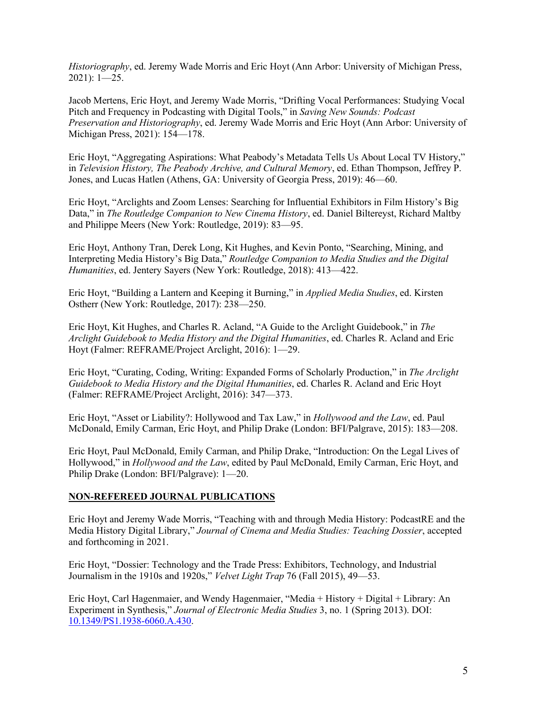*Historiography*, ed. Jeremy Wade Morris and Eric Hoyt (Ann Arbor: University of Michigan Press, 2021): 1—25.

Jacob Mertens, Eric Hoyt, and Jeremy Wade Morris, "Drifting Vocal Performances: Studying Vocal Pitch and Frequency in Podcasting with Digital Tools," in *Saving New Sounds: Podcast Preservation and Historiography*, ed. Jeremy Wade Morris and Eric Hoyt (Ann Arbor: University of Michigan Press, 2021): 154—178.

Eric Hoyt, "Aggregating Aspirations: What Peabody's Metadata Tells Us About Local TV History," in *Television History, The Peabody Archive, and Cultural Memory*, ed. Ethan Thompson, Jeffrey P. Jones, and Lucas Hatlen (Athens, GA: University of Georgia Press, 2019): 46—60.

Eric Hoyt, "Arclights and Zoom Lenses: Searching for Influential Exhibitors in Film History's Big Data," in *The Routledge Companion to New Cinema History*, ed. Daniel Biltereyst, Richard Maltby and Philippe Meers (New York: Routledge, 2019): 83—95.

Eric Hoyt, Anthony Tran, Derek Long, Kit Hughes, and Kevin Ponto, "Searching, Mining, and Interpreting Media History's Big Data," *Routledge Companion to Media Studies and the Digital Humanities*, ed. Jentery Sayers (New York: Routledge, 2018): 413—422.

Eric Hoyt, "Building a Lantern and Keeping it Burning," in *Applied Media Studies*, ed. Kirsten Ostherr (New York: Routledge, 2017): 238—250.

Eric Hoyt, Kit Hughes, and Charles R. Acland, "A Guide to the Arclight Guidebook," in *The Arclight Guidebook to Media History and the Digital Humanities*, ed. Charles R. Acland and Eric Hoyt (Falmer: REFRAME/Project Arclight, 2016): 1—29.

Eric Hoyt, "Curating, Coding, Writing: Expanded Forms of Scholarly Production," in *The Arclight Guidebook to Media History and the Digital Humanities*, ed. Charles R. Acland and Eric Hoyt (Falmer: REFRAME/Project Arclight, 2016): 347—373.

Eric Hoyt, "Asset or Liability?: Hollywood and Tax Law," in *Hollywood and the Law*, ed. Paul McDonald, Emily Carman, Eric Hoyt, and Philip Drake (London: BFI/Palgrave, 2015): 183—208.

Eric Hoyt, Paul McDonald, Emily Carman, and Philip Drake, "Introduction: On the Legal Lives of Hollywood," in *Hollywood and the Law*, edited by Paul McDonald, Emily Carman, Eric Hoyt, and Philip Drake (London: BFI/Palgrave): 1—20.

### **NON-REFEREED JOURNAL PUBLICATIONS**

Eric Hoyt and Jeremy Wade Morris, "Teaching with and through Media History: PodcastRE and the Media History Digital Library," *Journal of Cinema and Media Studies: Teaching Dossier*, accepted and forthcoming in 2021.

Eric Hoyt, "Dossier: Technology and the Trade Press: Exhibitors, Technology, and Industrial Journalism in the 1910s and 1920s," *Velvet Light Trap* 76 (Fall 2015), 49—53.

Eric Hoyt, Carl Hagenmaier, and Wendy Hagenmaier, "Media + History + Digital + Library: An Experiment in Synthesis," *Journal of Electronic Media Studies* 3, no. 1 (Spring 2013). DOI: 10.1349/PS1.1938-6060.A.430.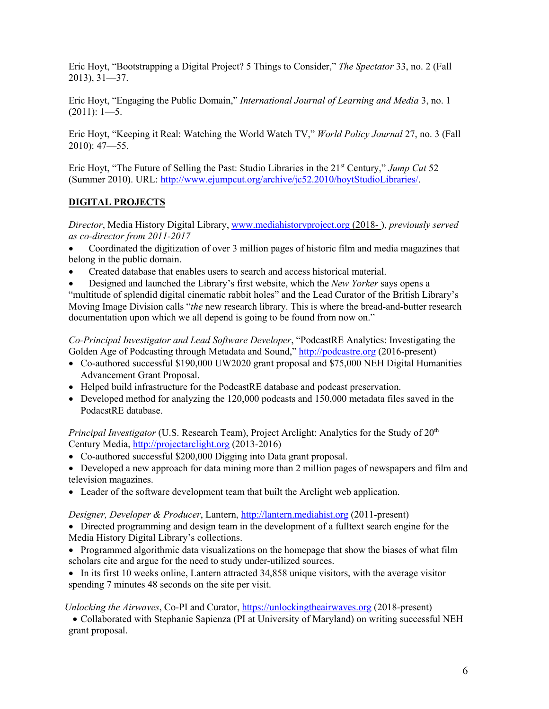Eric Hoyt, "Bootstrapping a Digital Project? 5 Things to Consider," *The Spectator* 33, no. 2 (Fall 2013), 31—37.

Eric Hoyt, "Engaging the Public Domain," *International Journal of Learning and Media* 3, no. 1  $(2011): 1-5.$ 

Eric Hoyt, "Keeping it Real: Watching the World Watch TV," *World Policy Journal* 27, no. 3 (Fall 2010): 47—55.

Eric Hoyt, "The Future of Selling the Past: Studio Libraries in the 21st Century," *Jump Cut* 52 (Summer 2010). URL: http://www.ejumpcut.org/archive/jc52.2010/hoytStudioLibraries/.

# **DIGITAL PROJECTS**

*Director*, Media History Digital Library, www.mediahistoryproject.org (2018- ), *previously served as co-director from 2011-2017*

• Coordinated the digitization of over 3 million pages of historic film and media magazines that belong in the public domain.

• Created database that enables users to search and access historical material.

• Designed and launched the Library's first website, which the *New Yorker* says opens a "multitude of splendid digital cinematic rabbit holes" and the Lead Curator of the British Library's Moving Image Division calls "*the* new research library. This is where the bread-and-butter research documentation upon which we all depend is going to be found from now on."

*Co-Principal Investigator and Lead Software Developer*, "PodcastRE Analytics: Investigating the Golden Age of Podcasting through Metadata and Sound," http://podcastre.org (2016-present)

- Co-authored successful \$190,000 UW2020 grant proposal and \$75,000 NEH Digital Humanities Advancement Grant Proposal.
- Helped build infrastructure for the PodcastRE database and podcast preservation.
- Developed method for analyzing the 120,000 podcasts and 150,000 metadata files saved in the PodacstRE database.

*Principal Investigator* (U.S. Research Team), Project Arclight: Analytics for the Study of 20<sup>th</sup> Century Media, http://projectarclight.org (2013-2016)

• Co-authored successful \$200,000 Digging into Data grant proposal.

• Developed a new approach for data mining more than 2 million pages of newspapers and film and television magazines.

• Leader of the software development team that built the Arclight web application.

*Designer, Developer & Producer*, Lantern, http://lantern.mediahist.org (2011-present)

• Directed programming and design team in the development of a fulltext search engine for the Media History Digital Library's collections.

• Programmed algorithmic data visualizations on the homepage that show the biases of what film scholars cite and argue for the need to study under-utilized sources.

• In its first 10 weeks online, Lantern attracted 34,858 unique visitors, with the average visitor spending 7 minutes 48 seconds on the site per visit.

*Unlocking the Airwaves*, Co-PI and Curator, https://unlockingtheairwaves.org (2018-present)

• Collaborated with Stephanie Sapienza (PI at University of Maryland) on writing successful NEH grant proposal.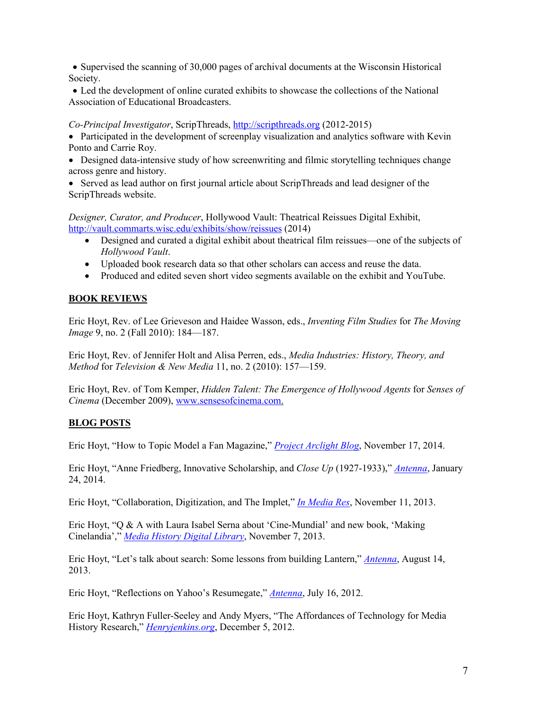• Supervised the scanning of 30,000 pages of archival documents at the Wisconsin Historical Society.

• Led the development of online curated exhibits to showcase the collections of the National Association of Educational Broadcasters.

### *Co-Principal Investigator*, ScripThreads, http://scripthreads.org (2012-2015)

• Participated in the development of screenplay visualization and analytics software with Kevin Ponto and Carrie Roy.

• Designed data-intensive study of how screenwriting and filmic storytelling techniques change across genre and history.

• Served as lead author on first journal article about ScripThreads and lead designer of the ScripThreads website.

*Designer, Curator, and Producer*, Hollywood Vault: Theatrical Reissues Digital Exhibit, http://vault.commarts.wisc.edu/exhibits/show/reissues (2014)

- Designed and curated a digital exhibit about theatrical film reissues—one of the subjects of *Hollywood Vault*.
- Uploaded book research data so that other scholars can access and reuse the data.
- Produced and edited seven short video segments available on the exhibit and YouTube.

# **BOOK REVIEWS**

Eric Hoyt, Rev. of Lee Grieveson and Haidee Wasson, eds., *Inventing Film Studies* for *The Moving Image* 9, no. 2 (Fall 2010): 184-187.

Eric Hoyt, Rev. of Jennifer Holt and Alisa Perren, eds., *Media Industries: History, Theory, and Method* for *Television & New Media* 11, no. 2 (2010): 157—159.

Eric Hoyt, Rev. of Tom Kemper, *Hidden Talent: The Emergence of Hollywood Agents* for *Senses of Cinema* (December 2009), www.sensesofcinema.com.

# **BLOG POSTS**

Eric Hoyt, "How to Topic Model a Fan Magazine," *Project Arclight Blog*, November 17, 2014.

Eric Hoyt, "Anne Friedberg, Innovative Scholarship, and *Close Up* (1927-1933)," *Antenna*, January 24, 2014.

Eric Hoyt, "Collaboration, Digitization, and The Implet," *In Media Res*, November 11, 2013.

Eric Hoyt, "Q & A with Laura Isabel Serna about 'Cine-Mundial' and new book, 'Making Cinelandia'," *Media History Digital Library*, November 7, 2013.

Eric Hoyt, "Let's talk about search: Some lessons from building Lantern," *Antenna*, August 14, 2013.

Eric Hoyt, "Reflections on Yahoo's Resumegate," *Antenna*, July 16, 2012.

Eric Hoyt, Kathryn Fuller-Seeley and Andy Myers, "The Affordances of Technology for Media History Research," *Henryjenkins.org*, December 5, 2012.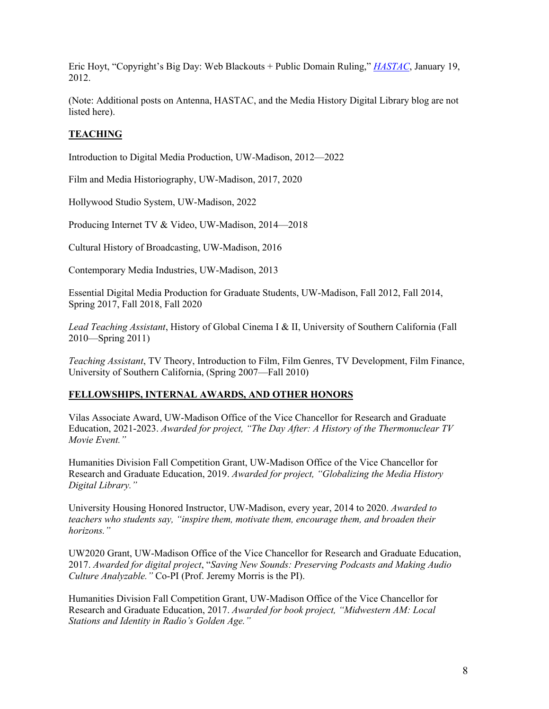Eric Hoyt, "Copyright's Big Day: Web Blackouts + Public Domain Ruling," *HASTAC*, January 19, 2012.

(Note: Additional posts on Antenna, HASTAC, and the Media History Digital Library blog are not listed here).

### **TEACHING**

Introduction to Digital Media Production, UW-Madison, 2012—2022

Film and Media Historiography, UW-Madison, 2017, 2020

Hollywood Studio System, UW-Madison, 2022

Producing Internet TV & Video, UW-Madison, 2014—2018

Cultural History of Broadcasting, UW-Madison, 2016

Contemporary Media Industries, UW-Madison, 2013

Essential Digital Media Production for Graduate Students, UW-Madison, Fall 2012, Fall 2014, Spring 2017, Fall 2018, Fall 2020

*Lead Teaching Assistant*, History of Global Cinema I & II, University of Southern California (Fall 2010—Spring 2011)

*Teaching Assistant*, TV Theory, Introduction to Film, Film Genres, TV Development, Film Finance, University of Southern California, (Spring 2007—Fall 2010)

#### **FELLOWSHIPS, INTERNAL AWARDS, AND OTHER HONORS**

Vilas Associate Award, UW-Madison Office of the Vice Chancellor for Research and Graduate Education, 2021-2023. *Awarded for project, "The Day After: A History of the Thermonuclear TV Movie Event."*

Humanities Division Fall Competition Grant, UW-Madison Office of the Vice Chancellor for Research and Graduate Education, 2019. *Awarded for project, "Globalizing the Media History Digital Library."*

University Housing Honored Instructor, UW-Madison, every year, 2014 to 2020. *Awarded to teachers who students say, "inspire them, motivate them, encourage them, and broaden their horizons."*

UW2020 Grant, UW-Madison Office of the Vice Chancellor for Research and Graduate Education, 2017. *Awarded for digital project*, "*Saving New Sounds: Preserving Podcasts and Making Audio Culture Analyzable."* Co-PI (Prof. Jeremy Morris is the PI).

Humanities Division Fall Competition Grant, UW-Madison Office of the Vice Chancellor for Research and Graduate Education, 2017. *Awarded for book project, "Midwestern AM: Local Stations and Identity in Radio's Golden Age."*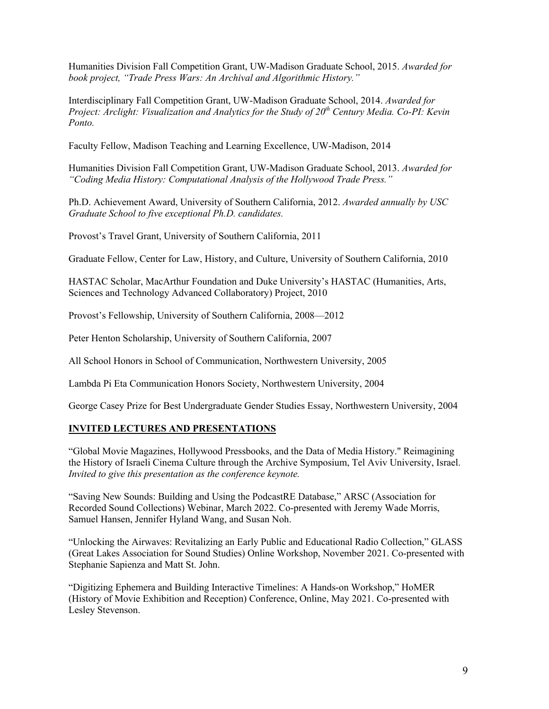Humanities Division Fall Competition Grant, UW-Madison Graduate School, 2015. *Awarded for book project, "Trade Press Wars: An Archival and Algorithmic History."*

Interdisciplinary Fall Competition Grant, UW-Madison Graduate School, 2014. *Awarded for Project: Arclight: Visualization and Analytics for the Study of 20th Century Media. Co-PI: Kevin Ponto.*

Faculty Fellow, Madison Teaching and Learning Excellence, UW-Madison, 2014

Humanities Division Fall Competition Grant, UW-Madison Graduate School, 2013. *Awarded for "Coding Media History: Computational Analysis of the Hollywood Trade Press."*

Ph.D. Achievement Award, University of Southern California, 2012. *Awarded annually by USC Graduate School to five exceptional Ph.D. candidates.*

Provost's Travel Grant, University of Southern California, 2011

Graduate Fellow, Center for Law, History, and Culture, University of Southern California, 2010

HASTAC Scholar, MacArthur Foundation and Duke University's HASTAC (Humanities, Arts, Sciences and Technology Advanced Collaboratory) Project, 2010

Provost's Fellowship, University of Southern California, 2008—2012

Peter Henton Scholarship, University of Southern California, 2007

All School Honors in School of Communication, Northwestern University, 2005

Lambda Pi Eta Communication Honors Society, Northwestern University, 2004

George Casey Prize for Best Undergraduate Gender Studies Essay, Northwestern University, 2004

# **INVITED LECTURES AND PRESENTATIONS**

"Global Movie Magazines, Hollywood Pressbooks, and the Data of Media History." Reimagining the History of Israeli Cinema Culture through the Archive Symposium, Tel Aviv University, Israel. *Invited to give this presentation as the conference keynote.*

"Saving New Sounds: Building and Using the PodcastRE Database," ARSC (Association for Recorded Sound Collections) Webinar, March 2022. Co-presented with Jeremy Wade Morris, Samuel Hansen, Jennifer Hyland Wang, and Susan Noh.

"Unlocking the Airwaves: Revitalizing an Early Public and Educational Radio Collection," GLASS (Great Lakes Association for Sound Studies) Online Workshop, November 2021. Co-presented with Stephanie Sapienza and Matt St. John.

"Digitizing Ephemera and Building Interactive Timelines: A Hands-on Workshop," HoMER (History of Movie Exhibition and Reception) Conference, Online, May 2021. Co-presented with Lesley Stevenson.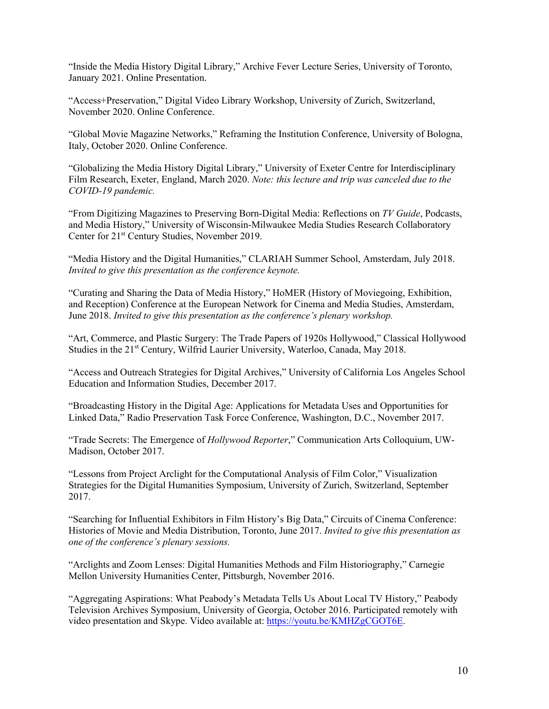"Inside the Media History Digital Library," Archive Fever Lecture Series, University of Toronto, January 2021. Online Presentation.

"Access+Preservation," Digital Video Library Workshop, University of Zurich, Switzerland, November 2020. Online Conference.

"Global Movie Magazine Networks," Reframing the Institution Conference, University of Bologna, Italy, October 2020. Online Conference.

"Globalizing the Media History Digital Library," University of Exeter Centre for Interdisciplinary Film Research, Exeter, England, March 2020. *Note: this lecture and trip was canceled due to the COVID-19 pandemic.*

"From Digitizing Magazines to Preserving Born-Digital Media: Reflections on *TV Guide*, Podcasts, and Media History," University of Wisconsin-Milwaukee Media Studies Research Collaboratory Center for 21<sup>st</sup> Century Studies, November 2019.

"Media History and the Digital Humanities," CLARIAH Summer School, Amsterdam, July 2018. *Invited to give this presentation as the conference keynote.* 

"Curating and Sharing the Data of Media History," HoMER (History of Moviegoing, Exhibition, and Reception) Conference at the European Network for Cinema and Media Studies, Amsterdam, June 2018. *Invited to give this presentation as the conference's plenary workshop.* 

"Art, Commerce, and Plastic Surgery: The Trade Papers of 1920s Hollywood," Classical Hollywood Studies in the 21<sup>st</sup> Century, Wilfrid Laurier University, Waterloo, Canada, May 2018.

"Access and Outreach Strategies for Digital Archives," University of California Los Angeles School Education and Information Studies, December 2017.

"Broadcasting History in the Digital Age: Applications for Metadata Uses and Opportunities for Linked Data," Radio Preservation Task Force Conference, Washington, D.C., November 2017.

"Trade Secrets: The Emergence of *Hollywood Reporter*," Communication Arts Colloquium, UW-Madison, October 2017.

"Lessons from Project Arclight for the Computational Analysis of Film Color," Visualization Strategies for the Digital Humanities Symposium, University of Zurich, Switzerland, September 2017.

"Searching for Influential Exhibitors in Film History's Big Data," Circuits of Cinema Conference: Histories of Movie and Media Distribution, Toronto, June 2017. *Invited to give this presentation as one of the conference's plenary sessions.* 

"Arclights and Zoom Lenses: Digital Humanities Methods and Film Historiography," Carnegie Mellon University Humanities Center, Pittsburgh, November 2016.

"Aggregating Aspirations: What Peabody's Metadata Tells Us About Local TV History," Peabody Television Archives Symposium, University of Georgia, October 2016. Participated remotely with video presentation and Skype. Video available at: https://youtu.be/KMHZgCGOT6E.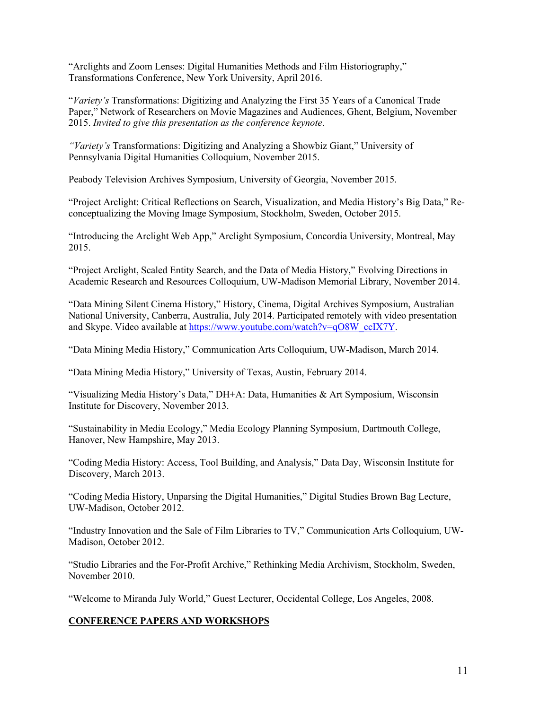"Arclights and Zoom Lenses: Digital Humanities Methods and Film Historiography," Transformations Conference, New York University, April 2016.

"*Variety's* Transformations: Digitizing and Analyzing the First 35 Years of a Canonical Trade Paper," Network of Researchers on Movie Magazines and Audiences, Ghent, Belgium, November 2015. *Invited to give this presentation as the conference keynote*.

*"Variety's* Transformations: Digitizing and Analyzing a Showbiz Giant," University of Pennsylvania Digital Humanities Colloquium, November 2015.

Peabody Television Archives Symposium, University of Georgia, November 2015.

"Project Arclight: Critical Reflections on Search, Visualization, and Media History's Big Data," Reconceptualizing the Moving Image Symposium, Stockholm, Sweden, October 2015.

"Introducing the Arclight Web App," Arclight Symposium, Concordia University, Montreal, May 2015.

"Project Arclight, Scaled Entity Search, and the Data of Media History," Evolving Directions in Academic Research and Resources Colloquium, UW-Madison Memorial Library, November 2014.

"Data Mining Silent Cinema History," History, Cinema, Digital Archives Symposium, Australian National University, Canberra, Australia, July 2014. Participated remotely with video presentation and Skype. Video available at https://www.youtube.com/watch?v=qO8W\_ccIX7Y.

"Data Mining Media History," Communication Arts Colloquium, UW-Madison, March 2014.

"Data Mining Media History," University of Texas, Austin, February 2014.

"Visualizing Media History's Data," DH+A: Data, Humanities & Art Symposium, Wisconsin Institute for Discovery, November 2013.

"Sustainability in Media Ecology," Media Ecology Planning Symposium, Dartmouth College, Hanover, New Hampshire, May 2013.

"Coding Media History: Access, Tool Building, and Analysis," Data Day, Wisconsin Institute for Discovery, March 2013.

"Coding Media History, Unparsing the Digital Humanities," Digital Studies Brown Bag Lecture, UW-Madison, October 2012.

"Industry Innovation and the Sale of Film Libraries to TV," Communication Arts Colloquium, UW-Madison, October 2012.

"Studio Libraries and the For-Profit Archive," Rethinking Media Archivism, Stockholm, Sweden, November 2010.

"Welcome to Miranda July World," Guest Lecturer, Occidental College, Los Angeles, 2008.

### **CONFERENCE PAPERS AND WORKSHOPS**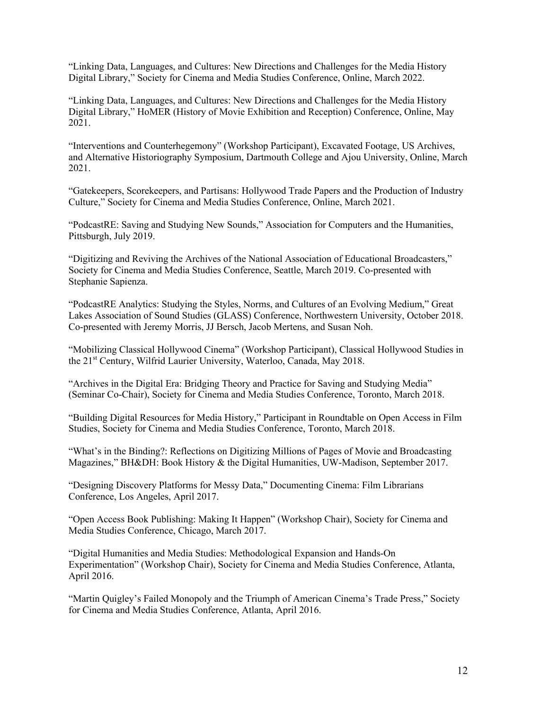"Linking Data, Languages, and Cultures: New Directions and Challenges for the Media History Digital Library," Society for Cinema and Media Studies Conference, Online, March 2022.

"Linking Data, Languages, and Cultures: New Directions and Challenges for the Media History Digital Library," HoMER (History of Movie Exhibition and Reception) Conference, Online, May 2021.

"Interventions and Counterhegemony" (Workshop Participant), Excavated Footage, US Archives, and Alternative Historiography Symposium, Dartmouth College and Ajou University, Online, March 2021.

"Gatekeepers, Scorekeepers, and Partisans: Hollywood Trade Papers and the Production of Industry Culture," Society for Cinema and Media Studies Conference, Online, March 2021.

"PodcastRE: Saving and Studying New Sounds," Association for Computers and the Humanities, Pittsburgh, July 2019.

"Digitizing and Reviving the Archives of the National Association of Educational Broadcasters," Society for Cinema and Media Studies Conference, Seattle, March 2019. Co-presented with Stephanie Sapienza.

"PodcastRE Analytics: Studying the Styles, Norms, and Cultures of an Evolving Medium," Great Lakes Association of Sound Studies (GLASS) Conference, Northwestern University, October 2018. Co-presented with Jeremy Morris, JJ Bersch, Jacob Mertens, and Susan Noh.

"Mobilizing Classical Hollywood Cinema" (Workshop Participant), Classical Hollywood Studies in the 21<sup>st</sup> Century, Wilfrid Laurier University, Waterloo, Canada, May 2018.

"Archives in the Digital Era: Bridging Theory and Practice for Saving and Studying Media" (Seminar Co-Chair), Society for Cinema and Media Studies Conference, Toronto, March 2018.

"Building Digital Resources for Media History," Participant in Roundtable on Open Access in Film Studies, Society for Cinema and Media Studies Conference, Toronto, March 2018.

"What's in the Binding?: Reflections on Digitizing Millions of Pages of Movie and Broadcasting Magazines," BH&DH: Book History & the Digital Humanities, UW-Madison, September 2017.

"Designing Discovery Platforms for Messy Data," Documenting Cinema: Film Librarians Conference, Los Angeles, April 2017.

"Open Access Book Publishing: Making It Happen" (Workshop Chair), Society for Cinema and Media Studies Conference, Chicago, March 2017.

"Digital Humanities and Media Studies: Methodological Expansion and Hands-On Experimentation" (Workshop Chair), Society for Cinema and Media Studies Conference, Atlanta, April 2016.

"Martin Quigley's Failed Monopoly and the Triumph of American Cinema's Trade Press," Society for Cinema and Media Studies Conference, Atlanta, April 2016.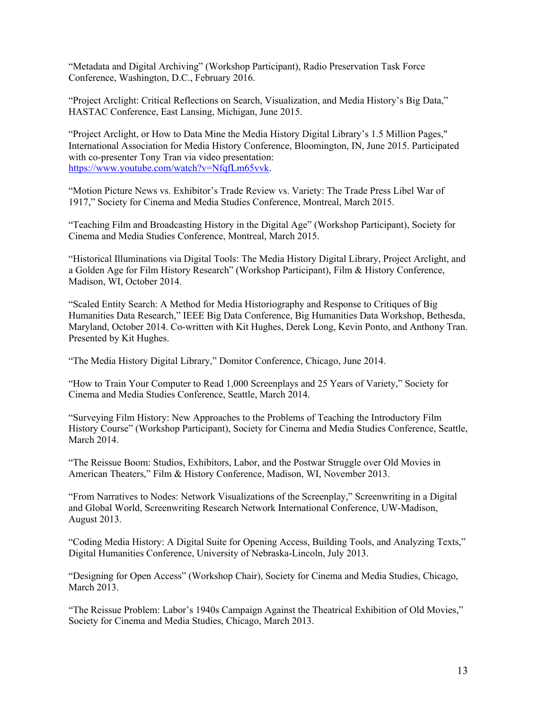"Metadata and Digital Archiving" (Workshop Participant), Radio Preservation Task Force Conference, Washington, D.C., February 2016.

"Project Arclight: Critical Reflections on Search, Visualization, and Media History's Big Data," HASTAC Conference, East Lansing, Michigan, June 2015.

"Project Arclight, or How to Data Mine the Media History Digital Library's 1.5 Million Pages," International Association for Media History Conference, Bloomington, IN, June 2015. Participated with co-presenter Tony Tran via video presentation: https://www.youtube.com/watch?v=NfqfLm65vvk.

"Motion Picture News vs. Exhibitor's Trade Review vs. Variety: The Trade Press Libel War of 1917," Society for Cinema and Media Studies Conference, Montreal, March 2015.

"Teaching Film and Broadcasting History in the Digital Age" (Workshop Participant), Society for Cinema and Media Studies Conference, Montreal, March 2015.

"Historical Illuminations via Digital Tools: The Media History Digital Library, Project Arclight, and a Golden Age for Film History Research" (Workshop Participant), Film & History Conference, Madison, WI, October 2014.

"Scaled Entity Search: A Method for Media Historiography and Response to Critiques of Big Humanities Data Research," IEEE Big Data Conference, Big Humanities Data Workshop, Bethesda, Maryland, October 2014. Co-written with Kit Hughes, Derek Long, Kevin Ponto, and Anthony Tran. Presented by Kit Hughes.

"The Media History Digital Library," Domitor Conference, Chicago, June 2014.

"How to Train Your Computer to Read 1,000 Screenplays and 25 Years of Variety," Society for Cinema and Media Studies Conference, Seattle, March 2014.

"Surveying Film History: New Approaches to the Problems of Teaching the Introductory Film History Course" (Workshop Participant), Society for Cinema and Media Studies Conference, Seattle, March 2014.

"The Reissue Boom: Studios, Exhibitors, Labor, and the Postwar Struggle over Old Movies in American Theaters," Film & History Conference, Madison, WI, November 2013.

"From Narratives to Nodes: Network Visualizations of the Screenplay," Screenwriting in a Digital and Global World, Screenwriting Research Network International Conference, UW-Madison, August 2013.

"Coding Media History: A Digital Suite for Opening Access, Building Tools, and Analyzing Texts," Digital Humanities Conference, University of Nebraska-Lincoln, July 2013.

"Designing for Open Access" (Workshop Chair), Society for Cinema and Media Studies, Chicago, March 2013.

"The Reissue Problem: Labor's 1940s Campaign Against the Theatrical Exhibition of Old Movies," Society for Cinema and Media Studies, Chicago, March 2013.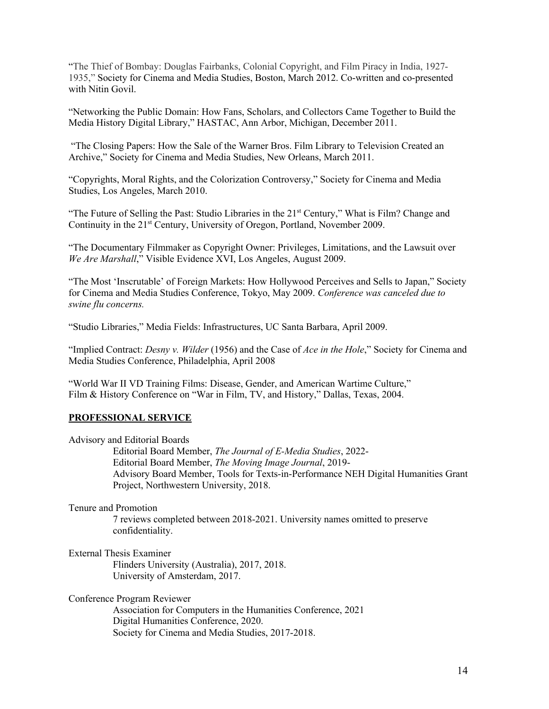"The Thief of Bombay: Douglas Fairbanks, Colonial Copyright, and Film Piracy in India, 1927- 1935," Society for Cinema and Media Studies, Boston, March 2012. Co-written and co-presented with Nitin Govil.

"Networking the Public Domain: How Fans, Scholars, and Collectors Came Together to Build the Media History Digital Library," HASTAC, Ann Arbor, Michigan, December 2011.

"The Closing Papers: How the Sale of the Warner Bros. Film Library to Television Created an Archive," Society for Cinema and Media Studies, New Orleans, March 2011.

"Copyrights, Moral Rights, and the Colorization Controversy," Society for Cinema and Media Studies, Los Angeles, March 2010.

"The Future of Selling the Past: Studio Libraries in the 21<sup>st</sup> Century," What is Film? Change and Continuity in the 21<sup>st</sup> Century, University of Oregon, Portland, November 2009.

"The Documentary Filmmaker as Copyright Owner: Privileges, Limitations, and the Lawsuit over *We Are Marshall*," Visible Evidence XVI, Los Angeles, August 2009.

"The Most 'Inscrutable' of Foreign Markets: How Hollywood Perceives and Sells to Japan," Society for Cinema and Media Studies Conference, Tokyo, May 2009. *Conference was canceled due to swine flu concerns.*

"Studio Libraries," Media Fields: Infrastructures, UC Santa Barbara, April 2009.

"Implied Contract: *Desny v. Wilder* (1956) and the Case of *Ace in the Hole*," Society for Cinema and Media Studies Conference, Philadelphia, April 2008

"World War II VD Training Films: Disease, Gender, and American Wartime Culture," Film & History Conference on "War in Film, TV, and History," Dallas, Texas, 2004.

#### **PROFESSIONAL SERVICE**

Advisory and Editorial Boards

Editorial Board Member, *The Journal of E-Media Studies*, 2022- Editorial Board Member, *The Moving Image Journal*, 2019- Advisory Board Member, Tools for Texts-in-Performance NEH Digital Humanities Grant Project, Northwestern University, 2018.

#### Tenure and Promotion

7 reviews completed between 2018-2021. University names omitted to preserve confidentiality.

External Thesis Examiner

Flinders University (Australia), 2017, 2018. University of Amsterdam, 2017.

Conference Program Reviewer

Association for Computers in the Humanities Conference, 2021 Digital Humanities Conference, 2020. Society for Cinema and Media Studies, 2017-2018.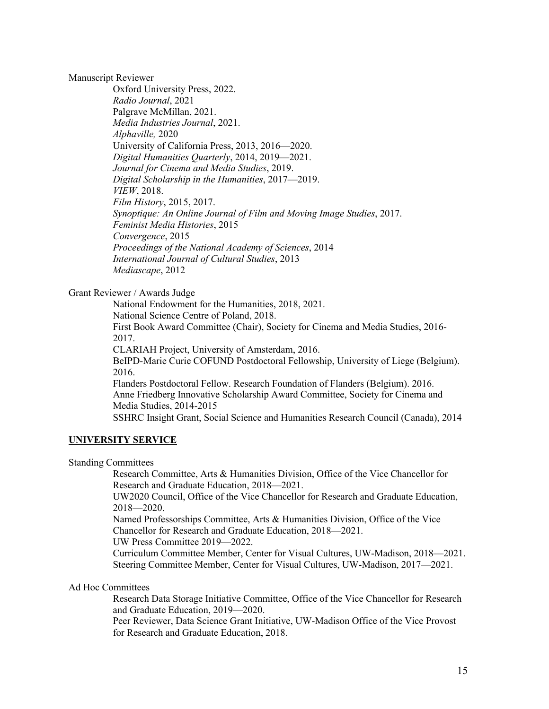Manuscript Reviewer

Oxford University Press, 2022. *Radio Journal*, 2021 Palgrave McMillan, 2021. *Media Industries Journal*, 2021. *Alphaville,* 2020 University of California Press, 2013, 2016—2020. *Digital Humanities Quarterly*, 2014, 2019—2021. *Journal for Cinema and Media Studies*, 2019. *Digital Scholarship in the Humanities*, 2017—2019. *VIEW*, 2018. *Film History*, 2015, 2017. *Synoptique: An Online Journal of Film and Moving Image Studies*, 2017. *Feminist Media Histories*, 2015 *Convergence*, 2015 *Proceedings of the National Academy of Sciences*, 2014 *International Journal of Cultural Studies*, 2013 *Mediascape*, 2012

Grant Reviewer / Awards Judge

National Endowment for the Humanities, 2018, 2021.

National Science Centre of Poland, 2018.

First Book Award Committee (Chair), Society for Cinema and Media Studies, 2016- 2017.

CLARIAH Project, University of Amsterdam, 2016.

BeIPD-Marie Curie COFUND Postdoctoral Fellowship, University of Liege (Belgium). 2016.

Flanders Postdoctoral Fellow. Research Foundation of Flanders (Belgium). 2016. Anne Friedberg Innovative Scholarship Award Committee, Society for Cinema and Media Studies, 2014-2015

SSHRC Insight Grant, Social Science and Humanities Research Council (Canada), 2014

# **UNIVERSITY SERVICE**

Standing Committees

Research Committee, Arts & Humanities Division, Office of the Vice Chancellor for Research and Graduate Education, 2018—2021.

UW2020 Council, Office of the Vice Chancellor for Research and Graduate Education, 2018—2020.

Named Professorships Committee, Arts & Humanities Division, Office of the Vice Chancellor for Research and Graduate Education, 2018—2021.

UW Press Committee 2019—2022.

Curriculum Committee Member, Center for Visual Cultures, UW-Madison, 2018—2021. Steering Committee Member, Center for Visual Cultures, UW-Madison, 2017—2021.

# Ad Hoc Committees

Research Data Storage Initiative Committee, Office of the Vice Chancellor for Research and Graduate Education, 2019—2020.

Peer Reviewer, Data Science Grant Initiative, UW-Madison Office of the Vice Provost for Research and Graduate Education, 2018.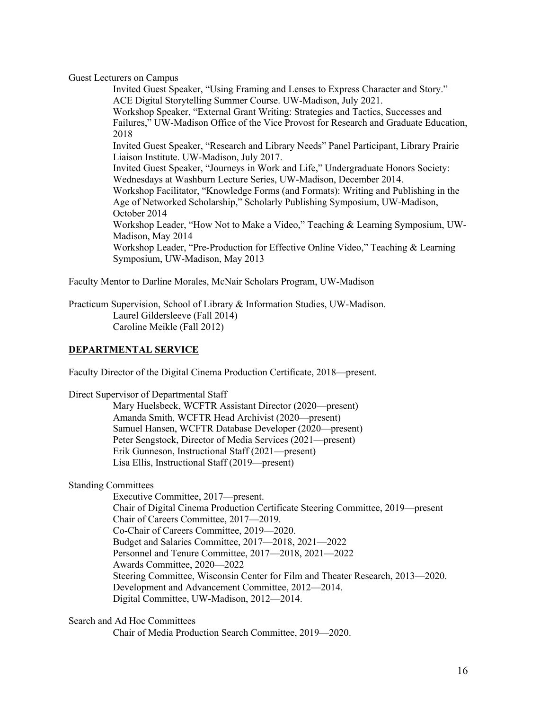Guest Lecturers on Campus

Invited Guest Speaker, "Using Framing and Lenses to Express Character and Story." ACE Digital Storytelling Summer Course. UW-Madison, July 2021. Workshop Speaker, "External Grant Writing: Strategies and Tactics, Successes and Failures," UW-Madison Office of the Vice Provost for Research and Graduate Education, 2018 Invited Guest Speaker, "Research and Library Needs" Panel Participant, Library Prairie Liaison Institute. UW-Madison, July 2017. Invited Guest Speaker, "Journeys in Work and Life," Undergraduate Honors Society: Wednesdays at Washburn Lecture Series, UW-Madison, December 2014. Workshop Facilitator, "Knowledge Forms (and Formats): Writing and Publishing in the Age of Networked Scholarship," Scholarly Publishing Symposium, UW-Madison, October 2014 Workshop Leader, "How Not to Make a Video," Teaching & Learning Symposium, UW-Madison, May 2014 Workshop Leader, "Pre-Production for Effective Online Video," Teaching & Learning Symposium, UW-Madison, May 2013

Faculty Mentor to Darline Morales, McNair Scholars Program, UW-Madison

Practicum Supervision, School of Library & Information Studies, UW-Madison. Laurel Gildersleeve (Fall 2014) Caroline Meikle (Fall 2012)

### **DEPARTMENTAL SERVICE**

Faculty Director of the Digital Cinema Production Certificate, 2018—present.

Direct Supervisor of Departmental Staff

Mary Huelsbeck, WCFTR Assistant Director (2020—present) Amanda Smith, WCFTR Head Archivist (2020—present) Samuel Hansen, WCFTR Database Developer (2020—present) Peter Sengstock, Director of Media Services (2021—present) Erik Gunneson, Instructional Staff (2021—present) Lisa Ellis, Instructional Staff (2019—present)

Standing Committees

Executive Committee, 2017—present. Chair of Digital Cinema Production Certificate Steering Committee, 2019—present Chair of Careers Committee, 2017—2019. Co-Chair of Careers Committee, 2019—2020. Budget and Salaries Committee, 2017—2018, 2021—2022 Personnel and Tenure Committee, 2017—2018, 2021—2022 Awards Committee, 2020—2022 Steering Committee, Wisconsin Center for Film and Theater Research, 2013—2020. Development and Advancement Committee, 2012—2014. Digital Committee, UW-Madison, 2012—2014.

Search and Ad Hoc Committees

Chair of Media Production Search Committee, 2019—2020.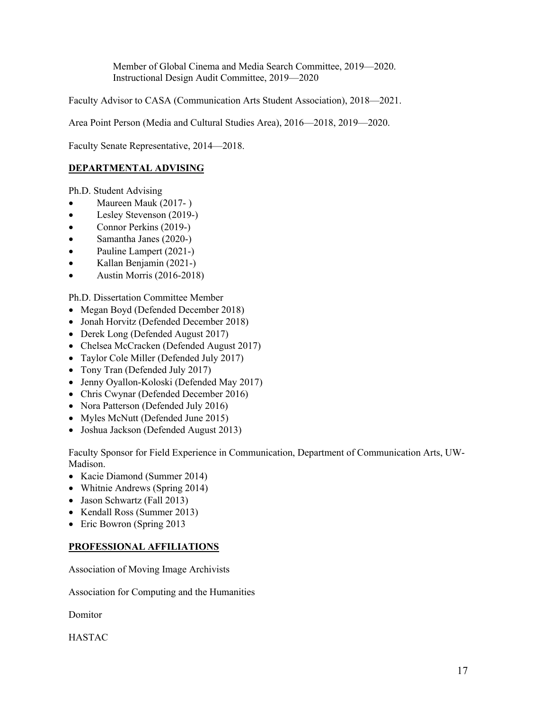Member of Global Cinema and Media Search Committee, 2019—2020. Instructional Design Audit Committee, 2019—2020

Faculty Advisor to CASA (Communication Arts Student Association), 2018—2021.

Area Point Person (Media and Cultural Studies Area), 2016—2018, 2019—2020.

Faculty Senate Representative, 2014—2018.

# **DEPARTMENTAL ADVISING**

Ph.D. Student Advising

- Maureen Mauk (2017- )
- Lesley Stevenson (2019-)
- Connor Perkins (2019-)
- Samantha Janes (2020-)
- Pauline Lampert (2021-)
- Kallan Benjamin (2021-)
- Austin Morris (2016-2018)

Ph.D. Dissertation Committee Member

- Megan Boyd (Defended December 2018)
- Jonah Horvitz (Defended December 2018)
- Derek Long (Defended August 2017)
- Chelsea McCracken (Defended August 2017)
- Taylor Cole Miller (Defended July 2017)
- Tony Tran (Defended July 2017)
- Jenny Oyallon-Koloski (Defended May 2017)
- Chris Cwynar (Defended December 2016)
- Nora Patterson (Defended July 2016)
- Myles McNutt (Defended June 2015)
- Joshua Jackson (Defended August 2013)

Faculty Sponsor for Field Experience in Communication, Department of Communication Arts, UW-Madison.

- Kacie Diamond (Summer 2014)
- Whitnie Andrews (Spring 2014)
- Jason Schwartz (Fall 2013)
- Kendall Ross (Summer 2013)
- Eric Bowron (Spring 2013)

# **PROFESSIONAL AFFILIATIONS**

Association of Moving Image Archivists

Association for Computing and the Humanities

Domitor

HASTAC